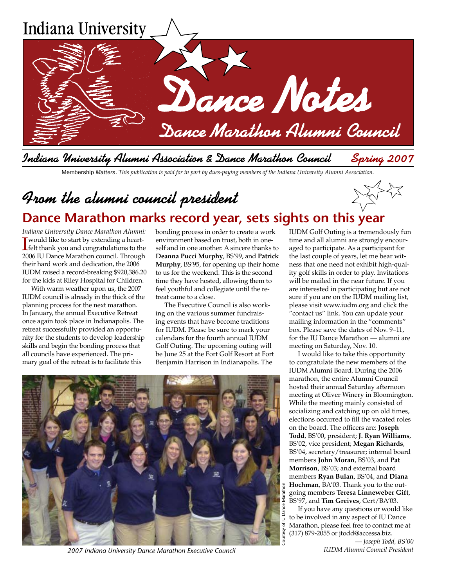

Membership *Matters*. *This publication is paid for in part by dues-paying members of the Indiana University Alumni Association.*

# From the alumni council president **Dance Marathon marks record year, sets sights on this year**

*Indiana University Dance Marathon Alumni:* **I** would like to start by extending a heart-<br>**Lielt thank you and congratulations to the L** felt thank you and congratulations to the 2006 IU Dance Marathon council. Through their hard work and dedication, the 2006 IUDM raised a record-breaking \$920,386.20 for the kids at Riley Hospital for Children.

With warm weather upon us, the 2007 IUDM council is already in the thick of the planning process for the next marathon. In January, the annual Executive Retreat once again took place in Indianapolis. The retreat successfully provided an opportunity for the students to develop leadership skills and begin the bonding process that all councils have experienced. The primary goal of the retreat is to facilitate this

bonding process in order to create a work environment based on trust, both in oneself and in one another. A sincere thanks to **Deanna Pucci Murphy**, BS'99, and **Patrick Murphy**, BS'95, for opening up their home to us for the weekend. This is the second time they have hosted, allowing them to feel youthful and collegiate until the retreat came to a close.

The Executive Council is also working on the various summer fundraising events that have become traditions for IUDM. Please be sure to mark your calendars for the fourth annual IUDM Golf Outing. The upcoming outing will be June 25 at the Fort Golf Resort at Fort Benjamin Harrison in Indianapolis. The

IUDM Golf Outing is a tremendously fun time and all alumni are strongly encouraged to participate. As a participant for the last couple of years, let me bear witness that one need not exhibit high-quality golf skills in order to play. Invitations will be mailed in the near future. If you are interested in participating but are not sure if you are on the IUDM mailing list, please visit www.iudm.org and click the "contact us" link. You can update your mailing information in the "comments" box. Please save the dates of Nov. 9–11, for the IU Dance Marathon — alumni are meeting on Saturday, Nov. 10.

I would like to take this opportunity to congratulate the new members of the IUDM Alumni Board. During the 2006 marathon, the entire Alumni Council hosted their annual Saturday afternoon meeting at Oliver Winery in Bloomington. While the meeting mainly consisted of socializing and catching up on old times, elections occurred to fill the vacated roles on the board. The officers are: **Joseph Todd**, BS'00, president; **J. Ryan Williams**, BS'02, vice president; **Megan Richards**, BS'04, secretary/treasurer; internal board members **John Moran**, BS'03, and **Pat Morrison**, BS'03; and external board members **Ryan Bulan**, BS'04, and **Diana Hochman**, BA'03. Thank you to the outgoing members **Teresa Linneweber Gift**, BS'97, and **Tim Greives**, Cert/BA'03.

If you have any questions or would like to be involved in any aspect of IU Dance Marathon, please feel free to contact me at (317) 879-2055 or jtodd@accessa.biz.

*— Joseph Todd, BS'00*

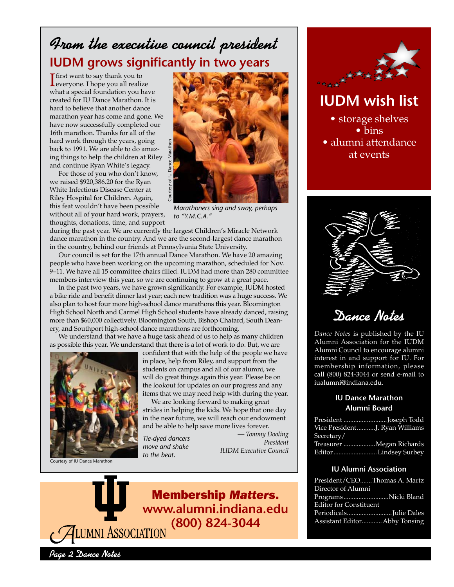# From the executive council president **IUDM grows significantly in two years**

**T**<br>first want to say thank you to<br>leveryone. I hope you all realized everyone. I hope you all realize what a special foundation you have created for IU Dance Marathon. It is hard to believe that another dance marathon year has come and gone. We have now successfully completed our 16th marathon. Thanks for all of the hard work through the years, going back to 1991. We are able to do amazing things to help the children at Riley and continue Ryan White's legacy.

For those of you who don't know, we raised \$920,386.20 for the Ryan White Infectious Disease Center at Riley Hospital for Children. Again, this feat wouldn't have been possible without all of your hard work, prayers, thoughts, donations, time, and support



*Marathoners sing and sway, perhaps to "Y.M.C.A."*

during the past year. We are currently the largest Children's Miracle Network dance marathon in the country. And we are the second-largest dance marathon in the country, behind our friends at Pennsylvania State University.

Our council is set for the 17th annual Dance Marathon. We have 20 amazing people who have been working on the upcoming marathon, scheduled for Nov. 9–11. We have all 15 committee chairs filled. IUDM had more than 280 committee members interview this year, so we are continuing to grow at a great pace.

In the past two years, we have grown significantly. For example, IUDM hosted a bike ride and benefit dinner last year; each new tradition was a huge success. We also plan to host four more high-school dance marathons this year. Bloomington High School North and Carmel High School students have already danced, raising more than \$60,000 collectively. Bloomington South, Bishop Chatard, South Deanery, and Southport high-school dance marathons are forthcoming.

We understand that we have a huge task ahead of us to help as many children as possible this year. We understand that there is a lot of work to do. But, we are



Courtesy of IU Dance Marathon

confident that with the help of the people we have in place, help from Riley, and support from the students on campus and all of our alumni, we will do great things again this year. Please be on the lookout for updates on our progress and any items that we may need help with during the year. ong<br>
amaz-<br>
it Riley<br>
it Riley<br>
it Riley<br>
it Riley<br>
it Riley<br>
an<br>
r at<br>
ain,<br>
sible<br>
prayers,<br>
it<br>
ain,<br>
sible<br>
prayers,<br>
it<br>
prayers,<br>
it and we are distributed And we are congrown sig<br>
con the upconsity ear;<br>
earch and D

We are looking forward to making great strides in helping the kids. We hope that one day in the near future, we will reach our endowment and be able to help save more lives forever.

*Tie-dyed dancers move and shake*  to the beat.

*— Tommy Dooling President IUDM Executive Council*





**IUDM wish list**

• storage shelves • bins • alumni attendance at events



Dance Notes

*Dance Notes* is published by the IU Alumni Association for the IUDM Alumni Council to encourage alumni interest in and support for IU. For membership information, please call (800) 824-3044 or send e-mail to iualumni@indiana.edu.

#### **IU Dance Marathon Alumni Board**

| President Joseph Todd          |  |
|--------------------------------|--|
| Vice PresidentJ. Ryan Williams |  |
| Secretary/                     |  |
| Treasurer Megan Richards       |  |
|                                |  |

#### **IU Alumni Association**

| President/CEOThomas A. Martz  |  |
|-------------------------------|--|
| Director of Alumni            |  |
| ProgramsNicki Bland           |  |
| <b>Editor for Constituent</b> |  |
| PeriodicalsJulie Dales        |  |
| Assistant EditorAbby Tonsing  |  |

Page 2 Dance Notes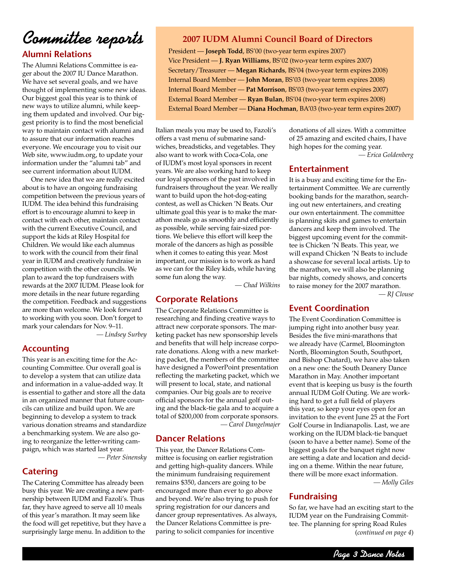# Committee *reports* 2007 IUDM Alumni Council Board of Directors

#### **Alumni Relations**

The Alumni Relations Committee is eager about the 2007 IU Dance Marathon. We have set several goals, and we have thought of implementing some new ideas. Our biggest goal this year is to think of new ways to utilize alumni, while keeping them updated and involved. Our biggest priority is to find the most beneficial way to maintain contact with alumni and to assure that our information reaches everyone. We encourage you to visit our Web site, www.iudm.org, to update your information under the "alumni tab" and see current information about IUDM.

One new idea that we are really excited about is to have an ongoing fundraising competition between the previous years of IUDM. The idea behind this fundraising effort is to encourage alumni to keep in contact with each other, maintain contact with the current Executive Council, and support the kids at Riley Hospital for Children. We would like each alumnus to work with the council from their final year in IUDM and creatively fundraise in competition with the other councils. We plan to award the top fundraisers with rewards at the 2007 IUDM. Please look for more details in the near future regarding the competition. Feedback and suggestions are more than welcome. We look forward to working with you soon. Don't forget to mark your calendars for Nov. 9–11.

*— Lindsey Surbey*

### **Accounting**

This year is an exciting time for the Accounting Committee. Our overall goal is to develop a system that can utilize data and information in a value-added way. It is essential to gather and store all the data in an organized manner that future councils can utilize and build upon. We are beginning to develop a system to track various donation streams and standardize a benchmarking system. We are also going to reorganize the letter-writing campaign, which was started last year.

*— Peter Sinensky*

#### **Catering**

The Catering Committee has already been busy this year. We are creating a new partnership between IUDM and Fazoli's. Thus far, they have agreed to serve all 10 meals of this year's marathon. It may seem like the food will get repetitive, but they have a surprisingly large menu. In addition to the

President — **Joseph Todd**, BS'00 (two-year term expires 2007) Vice President — **J. Ryan Williams**, BS'02 (two-year term expires 2007) Secretary/Treasurer — **Megan Richards**, BS'04 (two-year term expires 2008) Internal Board Member — **John Moran**, BS'03 (two-year term expires 2008) Internal Board Member — **Pat Morrison**, BS'03 (two-year term expires 2007) External Board Member — **Ryan Bulan**, BS'04 (two-year term expires 2008) External Board Member — **Diana Hochman**, BA'03 (two-year term expires 2007)

Italian meals you may be used to, Fazoli's offers a vast menu of submarine sandwiches, breadsticks, and vegetables. They also want to work with Coca-Cola, one of IUDM's most loyal sponsors in recent years. We are also working hard to keep our loyal sponsors of the past involved in fundraisers throughout the year. We really want to build upon the hot-dog-eating contest, as well as Chicken 'N Beats. Our ultimate goal this year is to make the marathon meals go as smoothly and efficiently as possible, while serving fair-sized portions. We believe this effort will keep the morale of the dancers as high as possible when it comes to eating this year. Most important, our mission is to work as hard as we can for the Riley kids, while having some fun along the way.

*— Chad Wilkins*

#### **Corporate Relations**

The Corporate Relations Committee is researching and finding creative ways to attract new corporate sponsors. The marketing packet has new sponsorship levels and benefits that will help increase corporate donations. Along with a new marketing packet, the members of the committee have designed a PowerPoint presentation reflecting the marketing packet, which we will present to local, state, and national companies. Our big goals are to receive official sponsors for the annual golf outing and the black-tie gala and to acquire a total of \$200,000 from corporate sponsors.

*— Carol Dangelmajer*

#### **Dancer Relations**

This year, the Dancer Relations Committee is focusing on earlier registration and getting high-quality dancers. While the minimum fundraising requirement remains \$350, dancers are going to be encouraged more than ever to go above and beyond. We're also trying to push for spring registration for our dancers and dancer group representatives. As always, the Dancer Relations Committee is preparing to solicit companies for incentive

donations of all sizes. With a committee of 25 amazing and excited chairs, I have high hopes for the coming year.

*— Erica Goldenberg*

#### **Entertainment**

It is a busy and exciting time for the Entertainment Committee. We are currently booking bands for the marathon, searching out new entertainers, and creating our own entertainment. The committee is planning skits and games to entertain dancers and keep them involved. The biggest upcoming event for the committee is Chicken 'N Beats. This year, we will expand Chicken 'N Beats to include a showcase for several local artists. Up to the marathon, we will also be planning bar nights, comedy shows, and concerts to raise money for the 2007 marathon. *— RJ Clouse*

#### **Event Coordination**

The Event Coordination Committee is jumping right into another busy year. Besides the five mini-marathons that we already have (Carmel, Bloomington North, Bloomington South, Southport, and Bishop Chatard), we have also taken on a new one: the South Deanery Dance Marathon in May. Another important event that is keeping us busy is the fourth annual IUDM Golf Outing. We are working hard to get a full field of players this year, so keep your eyes open for an invitation to the event June 25 at the Fort Golf Course in Indianapolis. Last, we are working on the IUDM black-tie banquet (soon to have a better name). Some of the biggest goals for the banquet right now are setting a date and location and deciding on a theme. Within the near future, there will be more exact information.

*— Molly Giles*

#### **Fundraising**

So far, we have had an exciting start to the IUDM year on the Fundraising Committee. The planning for spring Road Rules (*continued on page 4*)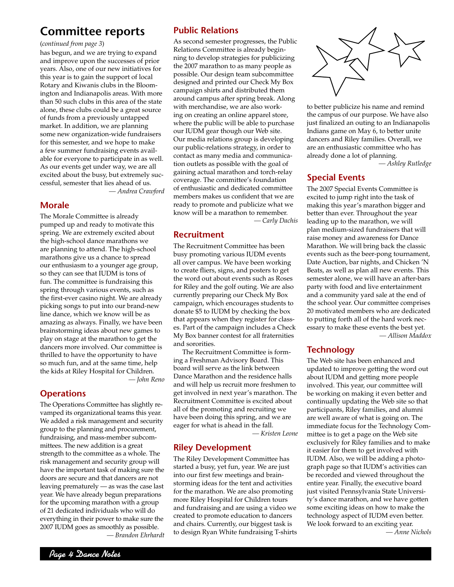### **Committee reports**

#### (*continued from page 3*)

has begun, and we are trying to expand and improve upon the successes of prior years. Also, one of our new initiatives for this year is to gain the support of local Rotary and Kiwanis clubs in the Bloomington and Indianapolis areas. With more than 50 such clubs in this area of the state alone, these clubs could be a great source of funds from a previously untapped market. In addition, we are planning some new organization-wide fundraisers for this semester, and we hope to make a few summer fundraising events available for everyone to participate in as well. As our events get under way, we are all excited about the busy, but extremely successful, semester that lies ahead of us. *— Andrea Crawford*

#### **Morale**

The Morale Committee is already pumped up and ready to motivate this spring. We are extremely excited about the high-school dance marathons we are planning to attend. The high-school marathons give us a chance to spread our enthusiasm to a younger age group, so they can see that IUDM is tons of fun. The committee is fundraising this spring through various events, such as the first-ever casino night. We are already picking songs to put into our brand-new line dance, which we know will be as amazing as always. Finally, we have been brainstorming ideas about new games to play on stage at the marathon to get the dancers more involved. Our committee is thrilled to have the opportunity to have so much fun, and at the same time, help the kids at Riley Hospital for Children. *— John Reno*

#### **Operations**

The Operations Committee has slightly revamped its organizational teams this year. We added a risk management and security group to the planning and procurement, fundraising, and mass-member subcommittees. The new addition is a great strength to the committee as a whole. The risk management and security group will have the important task of making sure the doors are secure and that dancers are not leaving prematurely — as was the case last year. We have already begun preparations for the upcoming marathon with a group of 21 dedicated individuals who will do everything in their power to make sure the 2007 IUDM goes as smoothly as possible. *— Brandon Ehrhardt*

#### **Public Relations**

As second semester progresses, the Public Relations Committee is already beginning to develop strategies for publicizing the 2007 marathon to as many people as possible. Our design team subcommittee designed and printed our Check My Box campaign shirts and distributed them around campus after spring break. Along with merchandise, we are also working on creating an online apparel store, where the public will be able to purchase our IUDM gear though our Web site. Our media relations group is developing our public-relations strategy, in order to contact as many media and communication outlets as possible with the goal of gaining actual marathon and torch-relay coverage. The committee's foundation of enthusiastic and dedicated committee members makes us confident that we are ready to promote and publicize what we know will be a marathon to remember.

*— Carly Dachis*

#### **Recruitment**

The Recruitment Committee has been busy promoting various IUDM events all over campus. We have been working to create fliers, signs, and posters to get the word out about events such as Roses for Riley and the golf outing. We are also currently preparing our Check My Box campaign, which encourages students to donate \$5 to IUDM by checking the box that appears when they register for classes. Part of the campaign includes a Check My Box banner contest for all fraternities and sororities.

The Recruitment Committee is forming a Freshman Advisory Board. This board will serve as the link between Dance Marathon and the residence halls and will help us recruit more freshmen to get involved in next year's marathon. The Recruitment Committee is excited about all of the promoting and recruiting we have been doing this spring, and we are eager for what is ahead in the fall.

*— Kristen Leone*

#### **Riley Development**

The Riley Development Committee has started a busy, yet fun, year. We are just into our first few meetings and brainstorming ideas for the tent and activities for the marathon. We are also promoting more Riley Hospital for Children tours and fundraising and are using a video we created to promote education to dancers and chairs. Currently, our biggest task is to design Ryan White fundraising T-shirts



to better publicize his name and remind the campus of our purpose. We have also just finalized an outing to an Indianapolis Indians game on May 6, to better unite dancers and Riley families. Overall, we are an enthusiastic committee who has already done a lot of planning.

*— Ashley Rutledge*

#### **Special Events**

The 2007 Special Events Committee is excited to jump right into the task of making this year's marathon bigger and better than ever. Throughout the year leading up to the marathon, we will plan medium-sized fundraisers that will raise money and awareness for Dance Marathon. We will bring back the classic events such as the beer-pong tournament, Date Auction, bar nights, and Chicken 'N Beats, as well as plan all new events. This semester alone, we will have an after-bars party with food and live entertainment and a community yard sale at the end of the school year. Our committee comprises 20 motivated members who are dedicated to putting forth all of the hard work necessary to make these events the best yet. *— Allison Maddox*

#### **Technology**

The Web site has been enhanced and updated to improve getting the word out about IUDM and getting more people involved. This year, our committee will be working on making it even better and continually updating the Web site so that participants, Riley families, and alumni are well aware of what is going on. The immediate focus for the Technology Committee is to get a page on the Web site exclusively for Riley families and to make it easier for them to get involved with IUDM. Also, we will be adding a photograph page so that IUDM's activities can be recorded and viewed throughout the entire year. Finally, the executive board just visited Pennsylvania State University's dance marathon, and we have gotten some exciting ideas on how to make the technology aspect of IUDM even better. We look forward to an exciting year.

*— Anne Nichols*